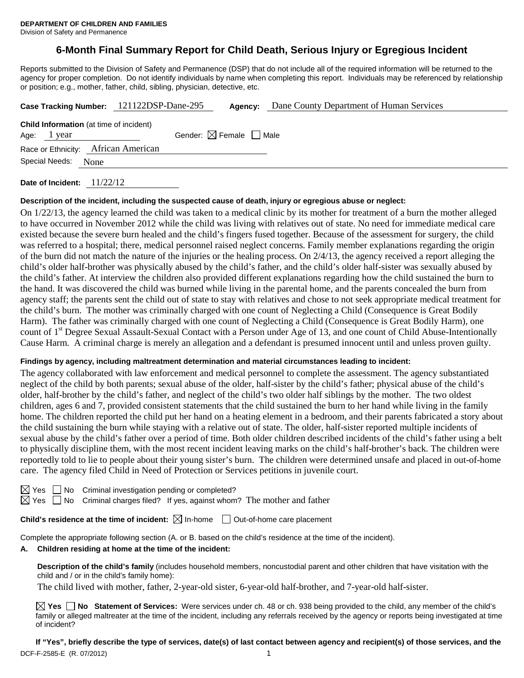Division of Safety and Permanence

# **6-Month Final Summary Report for Child Death, Serious Injury or Egregious Incident**

Reports submitted to the Division of Safety and Permanence (DSP) that do not include all of the required information will be returned to the agency for proper completion. Do not identify individuals by name when completing this report. Individuals may be referenced by relationship or position; e.g., mother, father, child, sibling, physician, detective, etc.

| Case Tracking Number: 121122DSP-Dane-295                      |      | Agency:                                | Dane County Department of Human Services |
|---------------------------------------------------------------|------|----------------------------------------|------------------------------------------|
| <b>Child Information</b> (at time of incident)<br>Age: 1 year |      | Gender: $\boxtimes$ Female $\Box$ Male |                                          |
| Race or Ethnicity: African American                           |      |                                        |                                          |
| Special Needs:                                                | None |                                        |                                          |
|                                                               |      |                                        |                                          |

**Date of Incident:** 11/22/12

#### **Description of the incident, including the suspected cause of death, injury or egregious abuse or neglect:**

On 1/22/13, the agency learned the child was taken to a medical clinic by its mother for treatment of a burn the mother alleged to have occurred in November 2012 while the child was living with relatives out of state. No need for immediate medical care existed because the severe burn healed and the child's fingers fused together. Because of the assessment for surgery, the child was referred to a hospital; there, medical personnel raised neglect concerns. Family member explanations regarding the origin of the burn did not match the nature of the injuries or the healing process. On  $2/4/13$ , the agency received a report alleging the child's older half-brother was physically abused by the child's father, and the child's older half-sister was sexually abused by the child's father. At interview the children also provided different explanations regarding how the child sustained the burn to the hand. It was discovered the child was burned while living in the parental home, and the parents concealed the burn from agency staff; the parents sent the child out of state to stay with relatives and chose to not seek appropriate medical treatment for the child's burn. The mother was criminally charged with one count of Neglecting a Child (Consequence is Great Bodily Harm). The father was criminally charged with one count of Neglecting a Child (Consequence is Great Bodily Harm), one count of 1<sup>st</sup> Degree Sexual Assault-Sexual Contact with a Person under Age of 13, and one count of Child Abuse-Intentionally Cause Harm. A criminal charge is merely an allegation and a defendant is presumed innocent until and unless proven guilty.

#### **Findings by agency, including maltreatment determination and material circumstances leading to incident:**

The agency collaborated with law enforcement and medical personnel to complete the assessment. The agency substantiated neglect of the child by both parents; sexual abuse of the older, half-sister by the child's father; physical abuse of the child's older, half-brother by the child's father, and neglect of the child's two older half siblings by the mother. The two oldest children, ages 6 and 7, provided consistent statements that the child sustained the burn to her hand while living in the family home. The children reported the child put her hand on a heating element in a bedroom, and their parents fabricated a story about the child sustaining the burn while staying with a relative out of state. The older, half-sister reported multiple incidents of sexual abuse by the child's father over a period of time. Both older children described incidents of the child's father using a belt to physically discipline them, with the most recent incident leaving marks on the child's half-brother's back. The children were reportedly told to lie to people about their young sister's burn. The children were determined unsafe and placed in out-of-home care. The agency filed Child in Need of Protection or Services petitions in juvenile court.

No Criminal investigation pending or completed?

 $\Box$  No Criminal charges filed? If yes, against whom? The mother and father

**Child's residence at the time of incident:**  $\boxtimes$  In-home  $\Box$  Out-of-home care placement

Complete the appropriate following section (A. or B. based on the child's residence at the time of the incident).

#### **A. Children residing at home at the time of the incident:**

**Description of the child's family** (includes household members, noncustodial parent and other children that have visitation with the child and / or in the child's family home):

The child lived with mother, father, 2-year-old sister, 6-year-old half-brother, and 7-year-old half-sister.

**Yes No Statement of Services:** Were services under ch. 48 or ch. 938 being provided to the child, any member of the child's family or alleged maltreater at the time of the incident, including any referrals received by the agency or reports being investigated at time of incident?

**If "Yes", briefly describe the type of services, date(s) of last contact between agency and recipient(s) of those services, and the**  DCF-F-2585-E (R. 07/2012) 1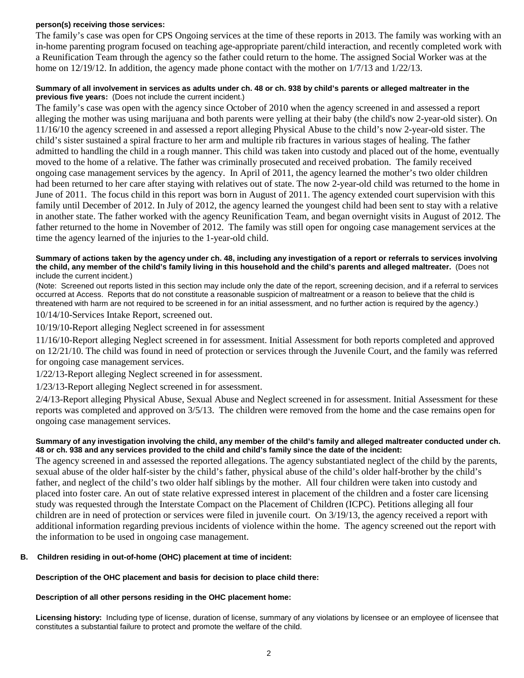#### **person(s) receiving those services:**

The family's case was open for CPS Ongoing services at the time of these reports in 2013. The family was working with an in-home parenting program focused on teaching age-appropriate parent/child interaction, and recently completed work with a Reunification Team through the agency so the father could return to the home. The assigned Social Worker was at the home on 12/19/12. In addition, the agency made phone contact with the mother on  $1/7/13$  and  $1/22/13$ .

#### **Summary of all involvement in services as adults under ch. 48 or ch. 938 by child's parents or alleged maltreater in the previous five years:** (Does not include the current incident.)

The family's case was open with the agency since October of 2010 when the agency screened in and assessed a report alleging the mother was using marijuana and both parents were yelling at their baby (the child's now 2-year-old sister). On 11/16/10 the agency screened in and assessed a report alleging Physical Abuse to the child's now 2-year-old sister. The child's sister sustained a spiral fracture to her arm and multiple rib fractures in various stages of healing. The father admitted to handling the child in a rough manner. This child was taken into custody and placed out of the home, eventually moved to the home of a relative. The father was criminally prosecuted and received probation. The family received ongoing case management services by the agency. In April of 2011, the agency learned the mother's two older children had been returned to her care after staying with relatives out of state. The now 2-year-old child was returned to the home in June of 2011. The focus child in this report was born in August of 2011. The agency extended court supervision with this family until December of 2012. In July of 2012, the agency learned the youngest child had been sent to stay with a relative in another state. The father worked with the agency Reunification Team, and began overnight visits in August of 2012. The father returned to the home in November of 2012. The family was still open for ongoing case management services at the time the agency learned of the injuries to the 1-year-old child.

#### **Summary of actions taken by the agency under ch. 48, including any investigation of a report or referrals to services involving the child, any member of the child's family living in this household and the child's parents and alleged maltreater.** (Does not include the current incident.)

(Note: Screened out reports listed in this section may include only the date of the report, screening decision, and if a referral to services occurred at Access. Reports that do not constitute a reasonable suspicion of maltreatment or a reason to believe that the child is threatened with harm are not required to be screened in for an initial assessment, and no further action is required by the agency.)

10/14/10-Services Intake Report, screened out.

10/19/10-Report alleging Neglect screened in for assessment

11/16/10-Report alleging Neglect screened in for assessment. Initial Assessment for both reports completed and approved on 12/21/10. The child was found in need of protection or services through the Juvenile Court, and the family was referred for ongoing case management services.

1/22/13-Report alleging Neglect screened in for assessment.

1/23/13-Report alleging Neglect screened in for assessment.

2/4/13-Report alleging Physical Abuse, Sexual Abuse and Neglect screened in for assessment. Initial Assessment for these reports was completed and approved on 3/5/13. The children were removed from the home and the case remains open for ongoing case management services.

#### **Summary of any investigation involving the child, any member of the child's family and alleged maltreater conducted under ch. 48 or ch. 938 and any services provided to the child and child's family since the date of the incident:**

The agency screened in and assessed the reported allegations. The agency substantiated neglect of the child by the parents, sexual abuse of the older half-sister by the child's father, physical abuse of the child's older half-brother by the child's father, and neglect of the child's two older half siblings by the mother. All four children were taken into custody and placed into foster care. An out of state relative expressed interest in placement of the children and a foster care licensing study was requested through the Interstate Compact on the Placement of Children (ICPC). Petitions alleging all four children are in need of protection or services were filed in juvenile court. On 3/19/13, the agency received a report with additional information regarding previous incidents of violence within the home. The agency screened out the report with the information to be used in ongoing case management.

#### **B. Children residing in out-of-home (OHC) placement at time of incident:**

#### **Description of the OHC placement and basis for decision to place child there:**

## **Description of all other persons residing in the OHC placement home:**

**Licensing history:** Including type of license, duration of license, summary of any violations by licensee or an employee of licensee that constitutes a substantial failure to protect and promote the welfare of the child.